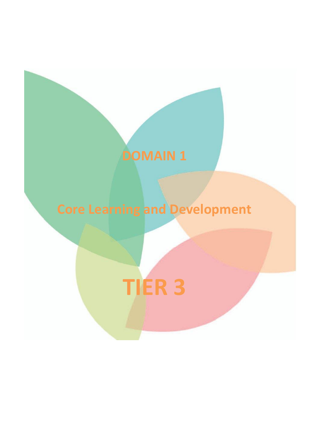# **Core Learning and Development TIER 3**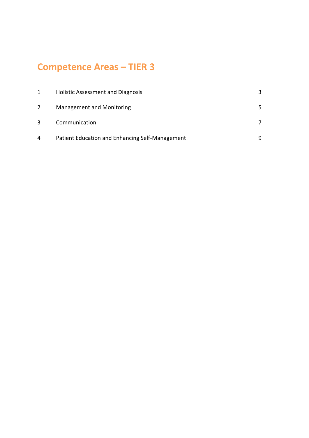# **Competence Areas – TIER 3**

| 1            | <b>Holistic Assessment and Diagnosis</b>        |  |
|--------------|-------------------------------------------------|--|
| $\mathbf{2}$ | <b>Management and Monitoring</b>                |  |
| 3            | Communication                                   |  |
| 4            | Patient Education and Enhancing Self-Management |  |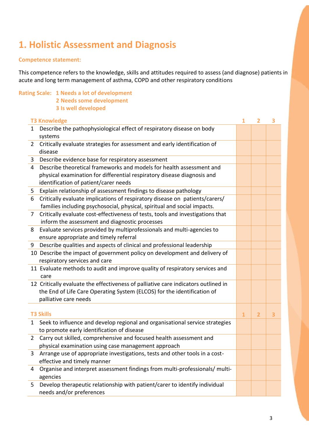# **1. Holistic Assessment and Diagnosis**

## **Competence statement:**

This competence refers to the knowledge, skills and attitudes required to assess (and diagnose) patients in acute and long term management of asthma, COPD and other respiratory conditions

## **Rating Scale: 1 Needs a lot of development**

- **2 Needs some development**
- **3 Is well developed**

|                | <b>T3 Knowledge</b>                                                                | 1            | $\overline{2}$ | 3 |
|----------------|------------------------------------------------------------------------------------|--------------|----------------|---|
| $\mathbf{1}$   | Describe the pathophysiological effect of respiratory disease on body              |              |                |   |
|                | systems                                                                            |              |                |   |
| $\overline{2}$ | Critically evaluate strategies for assessment and early identification of          |              |                |   |
|                | disease                                                                            |              |                |   |
| 3              | Describe evidence base for respiratory assessment                                  |              |                |   |
| 4              | Describe theoretical frameworks and models for health assessment and               |              |                |   |
|                | physical examination for differential respiratory disease diagnosis and            |              |                |   |
|                | identification of patient/carer needs                                              |              |                |   |
| 5              | Explain relationship of assessment findings to disease pathology                   |              |                |   |
| 6              | Critically evaluate implications of respiratory disease on patients/carers/        |              |                |   |
|                | families including psychosocial, physical, spiritual and social impacts.           |              |                |   |
| $\overline{7}$ | Critically evaluate cost-effectiveness of tests, tools and investigations that     |              |                |   |
|                | inform the assessment and diagnostic processes                                     |              |                |   |
| 8              | Evaluate services provided by multiprofessionals and multi-agencies to             |              |                |   |
|                | ensure appropriate and timely referral                                             |              |                |   |
| 9              | Describe qualities and aspects of clinical and professional leadership             |              |                |   |
|                | 10 Describe the impact of government policy on development and delivery of         |              |                |   |
|                | respiratory services and care                                                      |              |                |   |
|                | 11 Evaluate methods to audit and improve quality of respiratory services and       |              |                |   |
|                | care                                                                               |              |                |   |
|                | 12 Critically evaluate the effectiveness of palliative care indicators outlined in |              |                |   |
|                | the End of Life Care Operating System (ELCOS) for the identification of            |              |                |   |
|                | palliative care needs                                                              |              |                |   |
|                |                                                                                    |              |                |   |
|                | <b>T3 Skills</b>                                                                   | $\mathbf{1}$ | $\overline{2}$ | 3 |
| $\mathbf{1}$   | Seek to influence and develop regional and organisational service strategies       |              |                |   |
|                | to promote early identification of disease                                         |              |                |   |
| $\overline{2}$ | Carry out skilled, comprehensive and focused health assessment and                 |              |                |   |
|                | physical examination using case management approach                                |              |                |   |
| 3              | Arrange use of appropriate investigations, tests and other tools in a cost-        |              |                |   |
|                | effective and timely manner                                                        |              |                |   |
| 4              | Organise and interpret assessment findings from multi-professionals/ multi-        |              |                |   |
|                | agencies                                                                           |              |                |   |
| 5              | Develop therapeutic relationship with patient/carer to identify individual         |              |                |   |
|                | needs and/or preferences                                                           |              |                |   |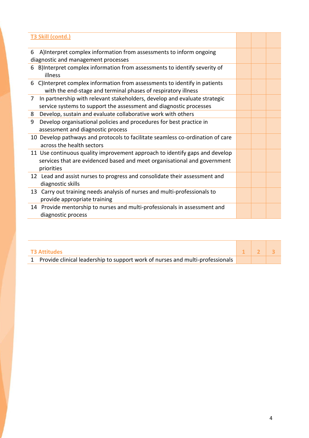| <b>T3 Skill (contd.)</b>                                                                                                                                              |  |  |
|-----------------------------------------------------------------------------------------------------------------------------------------------------------------------|--|--|
| A)Interpret complex information from assessments to inform ongoing<br>6<br>diagnostic and management processes                                                        |  |  |
| B)Interpret complex information from assessments to identify severity of<br>6<br>illness                                                                              |  |  |
| C) Interpret complex information from assessments to identify in patients<br>6<br>with the end-stage and terminal phases of respiratory illness                       |  |  |
| In partnership with relevant stakeholders, develop and evaluate strategic<br>7<br>service systems to support the assessment and diagnostic processes                  |  |  |
| Develop, sustain and evaluate collaborative work with others<br>8                                                                                                     |  |  |
| Develop organisational policies and procedures for best practice in<br>9<br>assessment and diagnostic process                                                         |  |  |
| 10 Develop pathways and protocols to facilitate seamless co-ordination of care<br>across the health sectors                                                           |  |  |
| 11 Use continuous quality improvement approach to identify gaps and develop<br>services that are evidenced based and meet organisational and government<br>priorities |  |  |
| 12 Lead and assist nurses to progress and consolidate their assessment and<br>diagnostic skills                                                                       |  |  |
| 13 Carry out training needs analysis of nurses and multi-professionals to<br>provide appropriate training                                                             |  |  |
| 14 Provide mentorship to nurses and multi-professionals in assessment and<br>diagnostic process                                                                       |  |  |

| <b>T3 Attitudes</b>                                                             |  |  |
|---------------------------------------------------------------------------------|--|--|
| 1 Provide clinical leadership to support work of nurses and multi-professionals |  |  |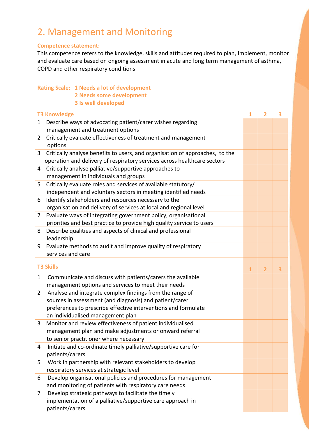# 2. Management and Monitoring

## **Competence statement:**

This competence refers to the knowledge, skills and attitudes required to plan, implement, monitor and evaluate care based on ongoing assessment in acute and long term management of asthma, COPD and other respiratory conditions

|                | <b>Rating Scale: 1 Needs a lot of development</b>                                               |              |                         |   |
|----------------|-------------------------------------------------------------------------------------------------|--------------|-------------------------|---|
|                | 2 Needs some development                                                                        |              |                         |   |
|                | 3 Is well developed                                                                             |              |                         |   |
|                | <b>T3 Knowledge</b>                                                                             | 1            | 2                       | 3 |
| $\mathbf{1}$   | Describe ways of advocating patient/carer wishes regarding                                      |              |                         |   |
|                | management and treatment options                                                                |              |                         |   |
| $\overline{2}$ | Critically evaluate effectiveness of treatment and management                                   |              |                         |   |
|                | options                                                                                         |              |                         |   |
| $\overline{3}$ | Critically analyse benefits to users, and organisation of approaches, to the                    |              |                         |   |
|                | operation and delivery of respiratory services across healthcare sectors                        |              |                         |   |
| 4              | Critically analyse palliative/supportive approaches to                                          |              |                         |   |
|                | management in individuals and groups                                                            |              |                         |   |
| 5              | Critically evaluate roles and services of available statutory/                                  |              |                         |   |
|                | independent and voluntary sectors in meeting identified needs                                   |              |                         |   |
| 6              | Identify stakeholders and resources necessary to the                                            |              |                         |   |
|                | organisation and delivery of services at local and regional level                               |              |                         |   |
| 7              | Evaluate ways of integrating government policy, organisational                                  |              |                         |   |
|                | priorities and best practice to provide high quality service to users                           |              |                         |   |
| 8              | Describe qualities and aspects of clinical and professional                                     |              |                         |   |
|                | leadership                                                                                      |              |                         |   |
| 9              | Evaluate methods to audit and improve quality of respiratory                                    |              |                         |   |
|                | services and care                                                                               |              |                         |   |
|                | <b>T3 Skills</b>                                                                                |              |                         |   |
|                |                                                                                                 | $\mathbf{1}$ | $\overline{\mathbf{2}}$ | 3 |
| 1              | Communicate and discuss with patients/carers the available                                      |              |                         |   |
|                | management options and services to meet their needs                                             |              |                         |   |
| $\overline{2}$ | Analyse and integrate complex findings from the range of                                        |              |                         |   |
|                | sources in assessment (and diagnosis) and patient/carer                                         |              |                         |   |
|                | preferences to prescribe effective interventions and formulate                                  |              |                         |   |
| 3              | an individualised management plan<br>Monitor and review effectiveness of patient individualised |              |                         |   |
|                | management plan and make adjustments or onward referral                                         |              |                         |   |
|                | to senior practitioner where necessary                                                          |              |                         |   |
| 4              | Initiate and co-ordinate timely palliative/supportive care for                                  |              |                         |   |
|                | patients/carers                                                                                 |              |                         |   |
| 5              | Work in partnership with relevant stakeholders to develop                                       |              |                         |   |
|                | respiratory services at strategic level                                                         |              |                         |   |
| 6              | Develop organisational policies and procedures for management                                   |              |                         |   |
|                | and monitoring of patients with respiratory care needs                                          |              |                         |   |
| 7              | Develop strategic pathways to facilitate the timely                                             |              |                         |   |
|                | implementation of a palliative/supportive care approach in                                      |              |                         |   |
|                | patients/carers                                                                                 |              |                         |   |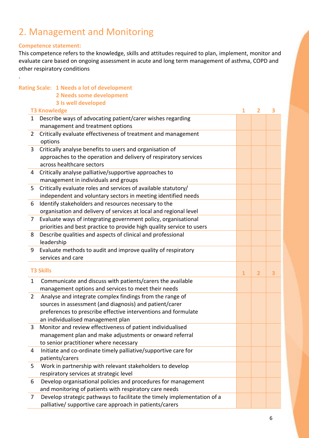## 2. Management and Monitoring

## **Competence statement:**

.

This competence refers to the knowledge, skills and attitudes required to plan, implement, monitor and evaluate care based on ongoing assessment in acute and long term management of asthma, COPD and other respiratory conditions

|                | <b>Rating Scale: 1 Needs a lot of development</b>                       |              |                         |   |
|----------------|-------------------------------------------------------------------------|--------------|-------------------------|---|
|                | 2 Needs some development                                                |              |                         |   |
|                | 3 Is well developed                                                     |              |                         |   |
|                | <b>T3 Knowledge</b>                                                     | 1            | $\overline{2}$          | 3 |
| $\mathbf{1}$   | Describe ways of advocating patient/carer wishes regarding              |              |                         |   |
|                | management and treatment options                                        |              |                         |   |
| $\overline{2}$ | Critically evaluate effectiveness of treatment and management           |              |                         |   |
|                | options                                                                 |              |                         |   |
| 3              | Critically analyse benefits to users and organisation of                |              |                         |   |
|                | approaches to the operation and delivery of respiratory services        |              |                         |   |
|                | across healthcare sectors                                               |              |                         |   |
| 4              | Critically analyse palliative/supportive approaches to                  |              |                         |   |
|                | management in individuals and groups                                    |              |                         |   |
| 5              | Critically evaluate roles and services of available statutory/          |              |                         |   |
|                | independent and voluntary sectors in meeting identified needs           |              |                         |   |
| 6              | Identify stakeholders and resources necessary to the                    |              |                         |   |
|                | organisation and delivery of services at local and regional level       |              |                         |   |
| $\overline{7}$ | Evaluate ways of integrating government policy, organisational          |              |                         |   |
|                | priorities and best practice to provide high quality service to users   |              |                         |   |
| 8              | Describe qualities and aspects of clinical and professional             |              |                         |   |
|                | leadership                                                              |              |                         |   |
| 9              | Evaluate methods to audit and improve quality of respiratory            |              |                         |   |
|                | services and care                                                       |              |                         |   |
|                | <b>T3 Skills</b>                                                        | $\mathbf{1}$ | $\overline{\mathbf{2}}$ | 3 |
| $\mathbf{1}$   | Communicate and discuss with patients/carers the available              |              |                         |   |
|                | management options and services to meet their needs                     |              |                         |   |
| $2^{\circ}$    | Analyse and integrate complex findings from the range of                |              |                         |   |
|                | sources in assessment (and diagnosis) and patient/carer                 |              |                         |   |
|                | preferences to prescribe effective interventions and formulate          |              |                         |   |
|                | an individualised management plan                                       |              |                         |   |
| 3              | Monitor and review effectiveness of patient individualised              |              |                         |   |
|                | management plan and make adjustments or onward referral                 |              |                         |   |
|                | to senior practitioner where necessary                                  |              |                         |   |
| 4              | Initiate and co-ordinate timely palliative/supportive care for          |              |                         |   |
|                | patients/carers                                                         |              |                         |   |
| 5              | Work in partnership with relevant stakeholders to develop               |              |                         |   |
|                | respiratory services at strategic level                                 |              |                         |   |
| 6              | Develop organisational policies and procedures for management           |              |                         |   |
|                | and monitoring of patients with respiratory care needs                  |              |                         |   |
| $\overline{7}$ | Develop strategic pathways to facilitate the timely implementation of a |              |                         |   |
|                | palliative/ supportive care approach in patients/carers                 |              |                         |   |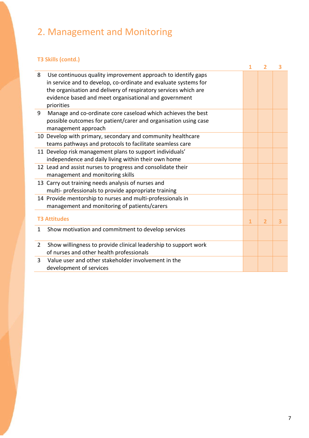# 2. Management and Monitoring

## **T3 Skills (contd.)**

|                |                                                                                                                                                                                                                                                                           | 1              | $\overline{2}$ | 3 |
|----------------|---------------------------------------------------------------------------------------------------------------------------------------------------------------------------------------------------------------------------------------------------------------------------|----------------|----------------|---|
| 8              | Use continuous quality improvement approach to identify gaps<br>in service and to develop, co-ordinate and evaluate systems for<br>the organisation and delivery of respiratory services which are<br>evidence based and meet organisational and government<br>priorities |                |                |   |
| 9              | Manage and co-ordinate core caseload which achieves the best<br>possible outcomes for patient/carer and organisation using case<br>management approach                                                                                                                    |                |                |   |
|                | 10 Develop with primary, secondary and community healthcare<br>teams pathways and protocols to facilitate seamless care                                                                                                                                                   |                |                |   |
|                | 11 Develop risk management plans to support individuals'<br>independence and daily living within their own home                                                                                                                                                           |                |                |   |
|                | 12 Lead and assist nurses to progress and consolidate their<br>management and monitoring skills                                                                                                                                                                           |                |                |   |
|                | 13 Carry out training needs analysis of nurses and<br>multi- professionals to provide appropriate training                                                                                                                                                                |                |                |   |
|                | 14 Provide mentorship to nurses and multi-professionals in<br>management and monitoring of patients/carers                                                                                                                                                                |                |                |   |
|                | <b>T3 Attitudes</b>                                                                                                                                                                                                                                                       | $\overline{1}$ | $\overline{2}$ | 3 |
| 1              | Show motivation and commitment to develop services                                                                                                                                                                                                                        |                |                |   |
| $\overline{2}$ | Show willingness to provide clinical leadership to support work<br>of nurses and other health professionals                                                                                                                                                               |                |                |   |
| 3              | Value user and other stakeholder involvement in the<br>development of services                                                                                                                                                                                            |                |                |   |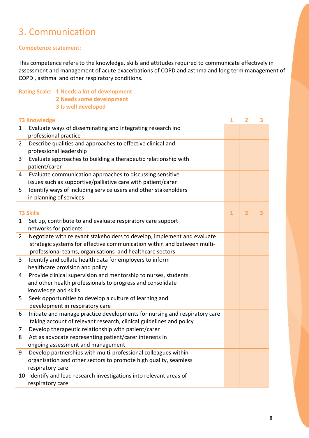## 3. Communication

## **Competence statement:**

This competence refers to the knowledge, skills and attitudes required to communicate effectively in assessment and management of acute exacerbations of COPD and asthma and long term management of COPD , asthma and other respiratory conditions.

- **Rating Scale: 1 Needs a lot of development 2 Needs some development**
	- **3 Is well developed**

|                | <b>T3 Knowledge</b>                                                                                                                                                                                            | $\overline{\mathbf{1}}$ | $\overline{2}$ | 3 |
|----------------|----------------------------------------------------------------------------------------------------------------------------------------------------------------------------------------------------------------|-------------------------|----------------|---|
| 1              | Evaluate ways of disseminating and integrating research ino<br>professional practice                                                                                                                           |                         |                |   |
| $\overline{2}$ | Describe qualities and approaches to effective clinical and<br>professional leadership                                                                                                                         |                         |                |   |
| 3              | Evaluate approaches to building a therapeutic relationship with<br>patient/carer                                                                                                                               |                         |                |   |
| 4              | Evaluate communication approaches to discussing sensitive<br>issues such as supportive/palliative care with patient/carer                                                                                      |                         |                |   |
| 5              | Identify ways of including service users and other stakeholders<br>in planning of services                                                                                                                     |                         |                |   |
|                | <b>T3 Skills</b>                                                                                                                                                                                               | $\mathbf{1}$            | $\overline{2}$ | 3 |
| 1              | Set up, contribute to and evaluate respiratory care support<br>networks for patients                                                                                                                           |                         |                |   |
| $\overline{2}$ | Negotiate with relevant stakeholders to develop, implement and evaluate<br>strategic systems for effective communication within and between multi-<br>professional teams, organisations and healthcare sectors |                         |                |   |
| 3              | Identify and collate health data for employers to inform<br>healthcare provision and policy                                                                                                                    |                         |                |   |
| 4              | Provide clinical supervision and mentorship to nurses, students<br>and other health professionals to progress and consolidate<br>knowledge and skills                                                          |                         |                |   |
| 5              | Seek opportunities to develop a culture of learning and<br>development in respiratory care                                                                                                                     |                         |                |   |
| 6              | Initiate and manage practice developments for nursing and respiratory care<br>taking account of relevant research, clinical guidelines and policy                                                              |                         |                |   |
| 7              | Develop therapeutic relationship with patient/carer                                                                                                                                                            |                         |                |   |
| 8              | Act as advocate representing patient/carer interests in<br>ongoing assessment and management                                                                                                                   |                         |                |   |
| 9              | Develop partnerships with multi-professional colleagues within<br>organisation and other sectors to promote high quality, seamless<br>respiratory care                                                         |                         |                |   |
|                | 10 Identify and lead research investigations into relevant areas of<br>respiratory care                                                                                                                        |                         |                |   |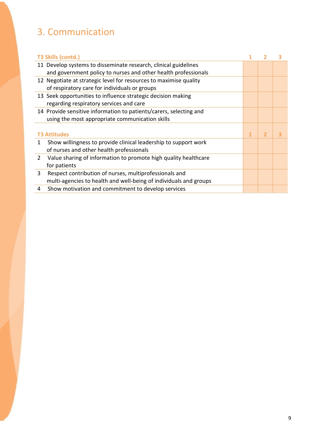# 3. Communication

| T3 Skills (contd.)                                                                       |  |                | 3 |
|------------------------------------------------------------------------------------------|--|----------------|---|
| 11 Develop systems to disseminate research, clinical guidelines                          |  |                |   |
| and government policy to nurses and other health professionals                           |  |                |   |
| 12 Negotiate at strategic level for resources to maximise quality                        |  |                |   |
| of respiratory care for individuals or groups                                            |  |                |   |
| 13 Seek opportunities to influence strategic decision making                             |  |                |   |
| regarding respiratory services and care                                                  |  |                |   |
| 14 Provide sensitive information to patients/carers, selecting and                       |  |                |   |
| using the most appropriate communication skills                                          |  |                |   |
|                                                                                          |  |                |   |
| <b>T3 Attitudes</b>                                                                      |  | $\overline{2}$ |   |
| Show willingness to provide clinical leadership to support work<br>1.                    |  |                |   |
| of nurses and other health professionals                                                 |  |                |   |
| Value sharing of information to promote high quality healthcare<br>$\mathbf{2}^{\prime}$ |  |                |   |
| for patients                                                                             |  |                |   |
| Respect contribution of nurses, multiprofessionals and<br>3                              |  |                |   |
| multi-agencies to health and well-being of individuals and groups                        |  |                |   |
| Show motivation and commitment to develop services<br>4                                  |  |                |   |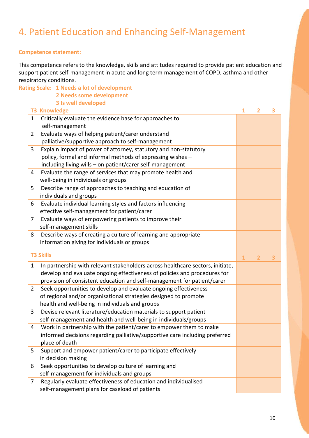# 4. Patient Education and Enhancing Self-Management

## **Competence statement:**

This competence refers to the knowledge, skills and attitudes required to provide patient education and support patient self-management in acute and long term management of COPD, asthma and other respiratory conditions.

|                | <b>Rating Scale: 1 Needs a lot of development</b>                              |              |                |   |
|----------------|--------------------------------------------------------------------------------|--------------|----------------|---|
|                | 2 Needs some development                                                       |              |                |   |
|                | 3 Is well developed                                                            |              |                |   |
|                | <b>T3 Knowledge</b>                                                            | 1            | $\overline{2}$ | 3 |
| $\mathbf{1}$   | Critically evaluate the evidence base for approaches to                        |              |                |   |
|                | self-management                                                                |              |                |   |
| $\overline{2}$ | Evaluate ways of helping patient/carer understand                              |              |                |   |
|                | palliative/supportive approach to self-management                              |              |                |   |
| 3              | Explain impact of power of attorney, statutory and non-statutory               |              |                |   |
|                | policy, formal and informal methods of expressing wishes -                     |              |                |   |
|                | including living wills - on patient/carer self-management                      |              |                |   |
| $\overline{4}$ | Evaluate the range of services that may promote health and                     |              |                |   |
|                | well-being in individuals or groups                                            |              |                |   |
| 5              | Describe range of approaches to teaching and education of                      |              |                |   |
|                | individuals and groups                                                         |              |                |   |
| 6              | Evaluate individual learning styles and factors influencing                    |              |                |   |
|                | effective self-management for patient/carer                                    |              |                |   |
| $\overline{7}$ | Evaluate ways of empowering patients to improve their                          |              |                |   |
|                | self-management skills                                                         |              |                |   |
| 8              | Describe ways of creating a culture of learning and appropriate                |              |                |   |
|                | information giving for individuals or groups                                   |              |                |   |
|                | <b>T3 Skills</b>                                                               | $\mathbf{1}$ | $\overline{2}$ | 3 |
| $\mathbf{1}$   | In partnership with relevant stakeholders across healthcare sectors, initiate, |              |                |   |
|                | develop and evaluate ongoing effectiveness of policies and procedures for      |              |                |   |
|                | provision of consistent education and self-management for patient/carer        |              |                |   |
| $\overline{2}$ | Seek opportunities to develop and evaluate ongoing effectiveness               |              |                |   |
|                | of regional and/or organisational strategies designed to promote               |              |                |   |
|                | health and well-being in individuals and groups                                |              |                |   |
| 3              | Devise relevant literature/education materials to support patient              |              |                |   |
|                | self-management and health and well-being in individuals/groups                |              |                |   |
| 4              | Work in partnership with the patient/carer to empower them to make             |              |                |   |
|                | informed decisions regarding palliative/supportive care including preferred    |              |                |   |
|                | place of death                                                                 |              |                |   |
| 5              | Support and empower patient/carer to participate effectively                   |              |                |   |
|                | in decision making                                                             |              |                |   |
| 6              | Seek opportunities to develop culture of learning and                          |              |                |   |
|                | self-management for individuals and groups                                     |              |                |   |
| $\overline{7}$ | Regularly evaluate effectiveness of education and individualised               |              |                |   |
|                | self-management plans for caseload of patients                                 |              |                |   |